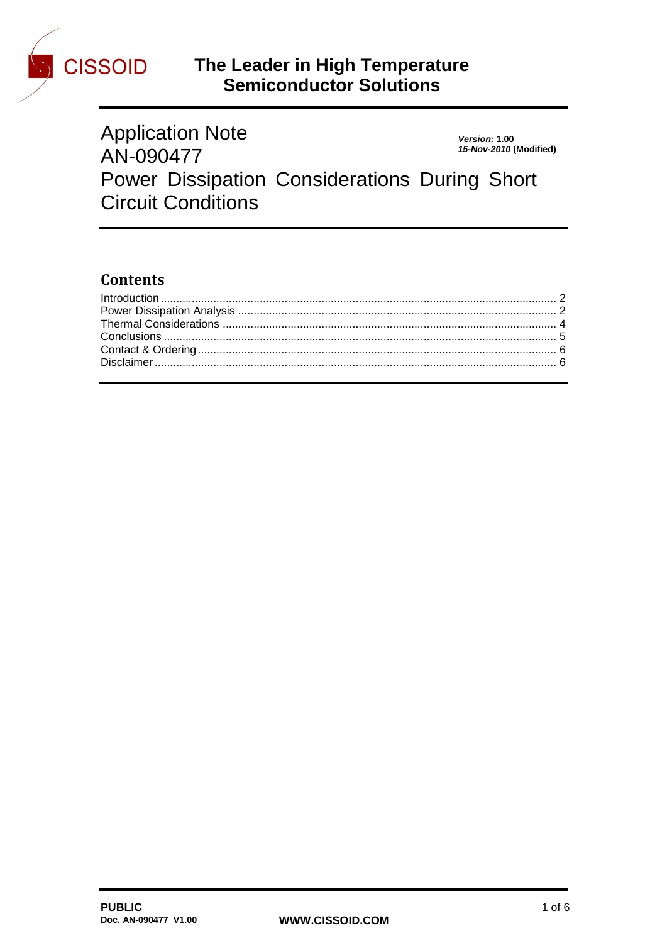

# CISSOID The Leader in High Temperature<br>Semiconductor Solutions

| <b>Application Note</b>                       | Version: 1.00          |
|-----------------------------------------------|------------------------|
| AN-090477                                     | 15-Nov-2010 (Modified) |
| Power Dissipation Considerations During Short |                        |
| <b>Circuit Conditions</b>                     |                        |

## **Contents**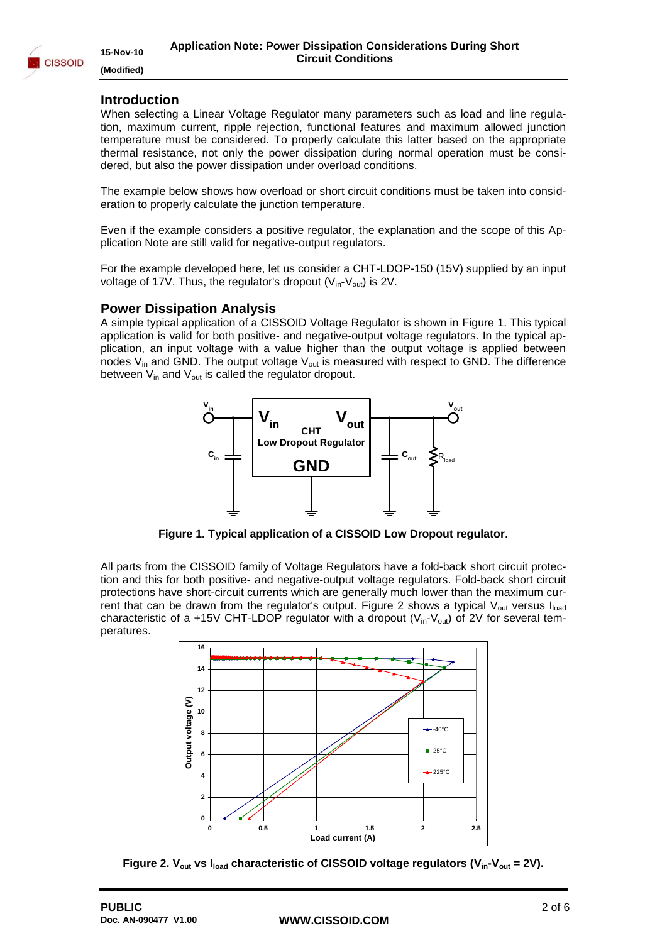

#### <span id="page-1-0"></span>**Introduction**

When selecting a Linear Voltage Regulator many parameters such as load and line regulation, maximum current, ripple rejection, functional features and maximum allowed junction temperature must be considered. To properly calculate this latter based on the appropriate thermal resistance, not only the power dissipation during normal operation must be considered, but also the power dissipation under overload conditions.

The example below shows how overload or short circuit conditions must be taken into consideration to properly calculate the junction temperature.

Even if the example considers a positive regulator, the explanation and the scope of this Application Note are still valid for negative-output regulators.

For the example developed here, let us consider a CHT-LDOP-150 (15V) supplied by an input voltage of 17V. Thus, the regulator's dropout ( $V_{in}$ - $V_{out}$ ) is 2V.

#### <span id="page-1-1"></span>**Power Dissipation Analysis**

A simple typical application of a CISSOID Voltage Regulator is shown in [Figure 1.](#page-1-2) This typical application is valid for both positive- and negative-output voltage regulators. In the typical application, an input voltage with a value higher than the output voltage is applied between nodes  $V_{in}$  and GND. The output voltage  $V_{out}$  is measured with respect to GND. The difference between  $V_{in}$  and  $V_{out}$  is called the regulator dropout.



**Figure 1. Typical application of a CISSOID Low Dropout regulator.**

<span id="page-1-2"></span>All parts from the CISSOID family of Voltage Regulators have a fold-back short circuit protection and this for both positive- and negative-output voltage regulators. Fold-back short circuit protections have short-circuit currents which are generally much lower than the maximum cur-rent that can be drawn from the regulator's output. [Figure 2](#page-1-3) shows a typical  $V_{out}$  versus  $I_{load}$ characteristic of a +15V CHT-LDOP regulator with a dropout ( $V_{in}$ - $V_{out}$ ) of 2V for several temperatures.



<span id="page-1-3"></span>**Figure 2. Vout vs Iload characteristic of CISSOID voltage regulators (Vin-Vout = 2V).**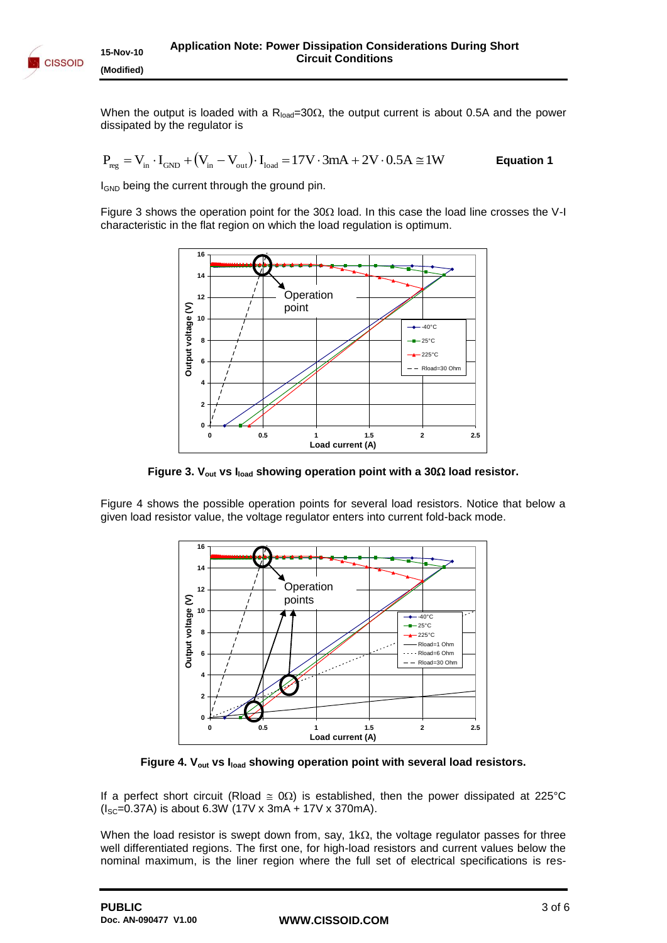When the output is loaded with a  $R_{load}=30\Omega$ , the output current is about 0.5A and the power dissipated by the regulator is

$$
P_{\text{reg}} = V_{\text{in}} \cdot I_{\text{GND}} + \left(V_{\text{in}} - V_{\text{out}}\right) \cdot I_{\text{load}} = 17V \cdot 3mA + 2V \cdot 0.5A \cong 1W \hspace{1.5cm} \text{Equation 1}
$$

I<sub>GND</sub> being the current through the ground pin.

[Figure 3](#page-2-0) shows the operation point for the  $30\Omega$  load. In this case the load line crosses the V-I characteristic in the flat region on which the load regulation is optimum.



**Figure 3. Vout vs Iload showing operation point with a 30 load resistor.**

<span id="page-2-0"></span>[Figure 4](#page-2-1) shows the possible operation points for several load resistors. Notice that below a given load resistor value, the voltage regulator enters into current fold-back mode.



**Figure 4. Vout vs Iload showing operation point with several load resistors.**

<span id="page-2-1"></span>If a perfect short circuit (Rload  $\approx 0\Omega$ ) is established, then the power dissipated at 225°C  $(I<sub>SC</sub>=0.37A)$  is about 6.3W (17V x 3mA + 17V x 370mA).

When the load resistor is swept down from, say, 1k $\Omega$ , the voltage regulator passes for three well differentiated regions. The first one, for high-load resistors and current values below the nominal maximum, is the liner region where the full set of electrical specifications is res-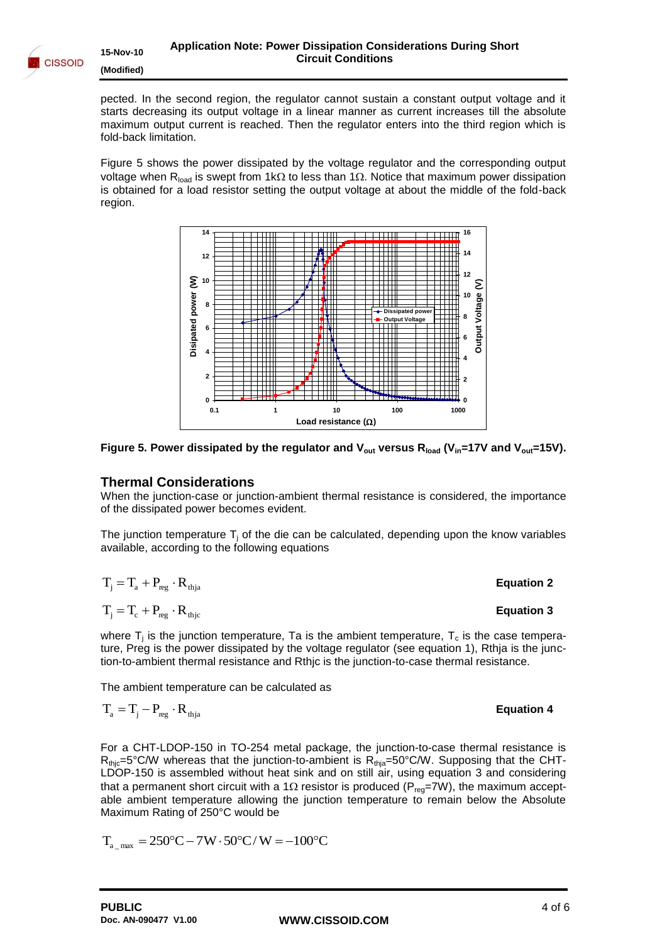

pected. In the second region, the regulator cannot sustain a constant output voltage and it starts decreasing its output voltage in a linear manner as current increases till the absolute maximum output current is reached. Then the regulator enters into the third region which is fold-back limitation.

[Figure 5](#page-3-1) shows the power dissipated by the voltage regulator and the corresponding output voltage when R<sub>load</sub> is swept from 1k $\Omega$  to less than 1 $\Omega$ . Notice that maximum power dissipation is obtained for a load resistor setting the output voltage at about the middle of the fold-back region.



<span id="page-3-1"></span>

#### <span id="page-3-0"></span>**Thermal Considerations**

When the junction-case or junction-ambient thermal resistance is considered, the importance of the dissipated power becomes evident.

The junction temperature  $T_i$  of the die can be calculated, depending upon the know variables available, according to the following equations

$$
T_{j} = T_{a} + P_{reg} \cdot R_{thja}
$$
\n
$$
T_{j} = T_{c} + P_{reg} \cdot R_{thje}
$$
\nEquation 2\nEquation 3

where  $T_j$  is the junction temperature, Ta is the ambient temperature,  $T_c$  is the case temperature, Preg is the power dissipated by the voltage regulator (see equation 1), Rthja is the junction-to-ambient thermal resistance and Rthjc is the junction-to-case thermal resistance.

The ambient temperature can be calculated as

$$
\mathbf{T}_{\scriptscriptstyle \rm a} = \mathbf{T}_{\scriptscriptstyle \rm j} - \mathbf{P}_{\scriptscriptstyle \rm reg} \cdot \mathbf{R}_{\scriptscriptstyle \rm thja}
$$

For a CHT-LDOP-150 in TO-254 metal package, the junction-to-case thermal resistance is  $R_{\text{thjc}}=5^{\circ}$ C/W whereas that the junction-to-ambient is  $R_{\text{thja}}=50^{\circ}$ C/W. Supposing that the CHT-LDOP-150 is assembled without heat sink and on still air, using equation 3 and considering that a permanent short circuit with a 1 $\Omega$  resistor is produced (P<sub>req</sub>=7W), the maximum acceptable ambient temperature allowing the junction temperature to remain below the Absolute Maximum Rating of 250°C would be

$$
T_{a \text{ max}} = 250^{\circ}\text{C} - 7\text{W} \cdot 50^{\circ}\text{C} / \text{W} = -100^{\circ}\text{C}
$$

**Equation 4**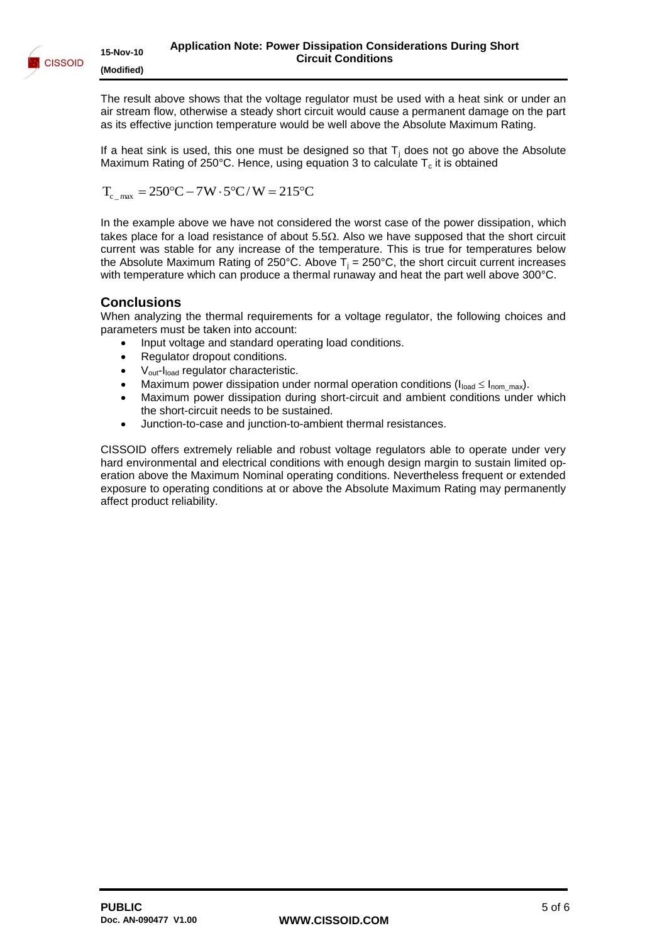

The result above shows that the voltage regulator must be used with a heat sink or under an air stream flow, otherwise a steady short circuit would cause a permanent damage on the part as its effective junction temperature would be well above the Absolute Maximum Rating.

If a heat sink is used, this one must be designed so that  $T<sub>i</sub>$  does not go above the Absolute Maximum Rating of 250°C. Hence, using equation 3 to calculate  $T_c$  it is obtained

$$
T_{c_{\text{max}}} = 250^{\circ}C - 7W \cdot 5^{\circ}C/W = 215^{\circ}C
$$

In the example above we have not considered the worst case of the power dissipation, which takes place for a load resistance of about  $5.5\Omega$ . Also we have supposed that the short circuit current was stable for any increase of the temperature. This is true for temperatures below the Absolute Maximum Rating of 250°C. Above  $T_i = 250$ °C, the short circuit current increases with temperature which can produce a thermal runaway and heat the part well above 300°C.

#### <span id="page-4-0"></span>**Conclusions**

When analyzing the thermal requirements for a voltage regulator, the following choices and parameters must be taken into account:

- Input voltage and standard operating load conditions.
- Regulator dropout conditions.
- V<sub>out</sub>-I<sub>load</sub> regulator characteristic.
- Maximum power dissipation under normal operation conditions ( $I_{load} \leq I_{nom\_max}$ ).
- Maximum power dissipation during short-circuit and ambient conditions under which the short-circuit needs to be sustained.
- Junction-to-case and junction-to-ambient thermal resistances.

CISSOID offers extremely reliable and robust voltage regulators able to operate under very hard environmental and electrical conditions with enough design margin to sustain limited operation above the Maximum Nominal operating conditions. Nevertheless frequent or extended exposure to operating conditions at or above the Absolute Maximum Rating may permanently affect product reliability.